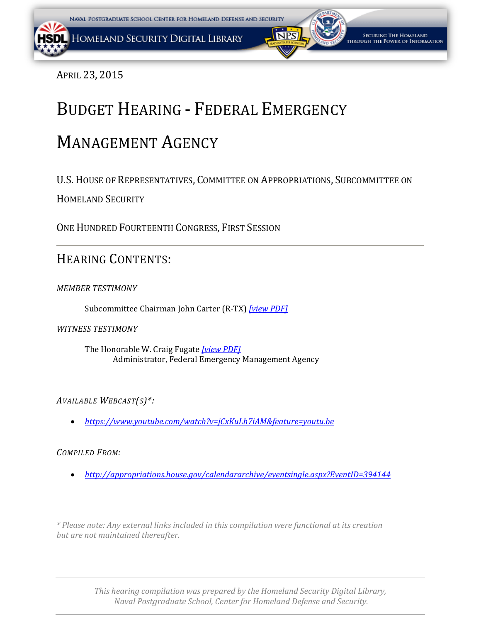APRIL 23, 2015

# BUDGET HEARING - FEDERAL EMERGENCY

# MANAGEMENT AGENCY

U.S.HOUSE OF REPRESENTATIVES, COMMITTEE ON APPROPRIATIONS, SUBCOMMITTEE ON

HOMELAND SECURITY

ONE HUNDRED FOURTEENTH CONGRESS, FIRST SESSION

# HEARING CONTENTS:

# *MEMBER TESTIMONY*

Subcommittee Chairman John Carter (R-TX) *[\[view PDF\]](#page-1-0)*

*WITNESS TESTIMONY*

The Honorable W. Craig Fugate *[\[view PDF\]](#page-2-0)* Administrator, Federal Emergency Management Agency

# *AVAILABLE WEBCAST(S)\*:*

• *<https://www.youtube.com/watch?v=jCxKuLh7iAM&feature=youtu.be>*

# *COMPILED FROM:*

• *<http://appropriations.house.gov/calendararchive/eventsingle.aspx?EventID=394144>*

*\* Please note: Any external links included in this compilation were functional at its creation but are not maintained thereafter.*

> *This hearing compilation was prepared by the Homeland Security Digital Library, Naval Postgraduate School, Center for Homeland Defense and Security.*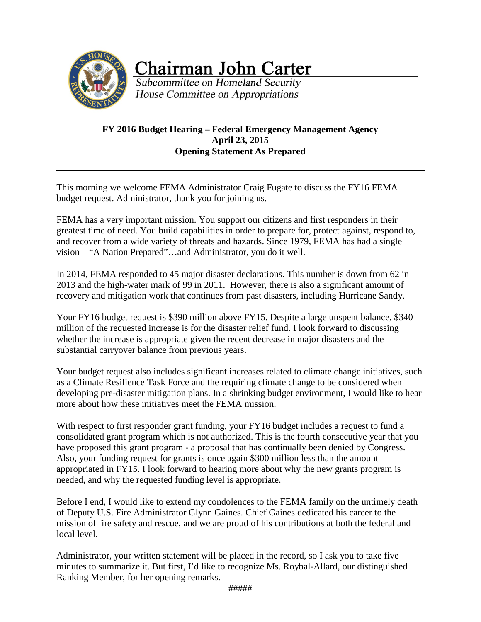<span id="page-1-0"></span>

**Chairman John Carter** 

Subcommittee on Homeland Security House Committee on Appropriations

#### **FY 2016 Budget Hearing – Federal Emergency Management Agency April 23, 2015 Opening Statement As Prepared**

This morning we welcome FEMA Administrator Craig Fugate to discuss the FY16 FEMA budget request. Administrator, thank you for joining us.

FEMA has a very important mission. You support our citizens and first responders in their greatest time of need. You build capabilities in order to prepare for, protect against, respond to, and recover from a wide variety of threats and hazards. Since 1979, FEMA has had a single vision – "A Nation Prepared"…and Administrator, you do it well.

In 2014, FEMA responded to 45 major disaster declarations. This number is down from 62 in 2013 and the high-water mark of 99 in 2011. However, there is also a significant amount of recovery and mitigation work that continues from past disasters, including Hurricane Sandy.

Your FY16 budget request is \$390 million above FY15. Despite a large unspent balance, \$340 million of the requested increase is for the disaster relief fund. I look forward to discussing whether the increase is appropriate given the recent decrease in major disasters and the substantial carryover balance from previous years.

Your budget request also includes significant increases related to climate change initiatives, such as a Climate Resilience Task Force and the requiring climate change to be considered when developing pre-disaster mitigation plans. In a shrinking budget environment, I would like to hear more about how these initiatives meet the FEMA mission.

With respect to first responder grant funding, your FY16 budget includes a request to fund a consolidated grant program which is not authorized. This is the fourth consecutive year that you have proposed this grant program - a proposal that has continually been denied by Congress. Also, your funding request for grants is once again \$300 million less than the amount appropriated in FY15. I look forward to hearing more about why the new grants program is needed, and why the requested funding level is appropriate.

Before I end, I would like to extend my condolences to the FEMA family on the untimely death of Deputy U.S. Fire Administrator Glynn Gaines. Chief Gaines dedicated his career to the mission of fire safety and rescue, and we are proud of his contributions at both the federal and local level.

Administrator, your written statement will be placed in the record, so I ask you to take five minutes to summarize it. But first, I'd like to recognize Ms. Roybal-Allard, our distinguished Ranking Member, for her opening remarks.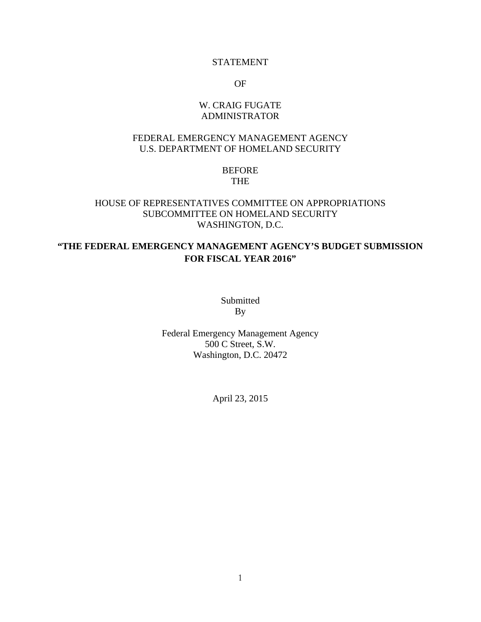#### STATEMENT

OF

#### W. CRAIG FUGATE ADMINISTRATOR

#### <span id="page-2-0"></span>FEDERAL EMERGENCY MANAGEMENT AGENCY U.S. DEPARTMENT OF HOMELAND SECURITY

#### BEFORE THE

#### HOUSE OF REPRESENTATIVES COMMITTEE ON APPROPRIATIONS SUBCOMMITTEE ON HOMELAND SECURITY WASHINGTON, D.C.

# **"THE FEDERAL EMERGENCY MANAGEMENT AGENCY'S BUDGET SUBMISSION FOR FISCAL YEAR 2016"**

Submitted By

Federal Emergency Management Agency 500 C Street, S.W. Washington, D.C. 20472

April 23, 2015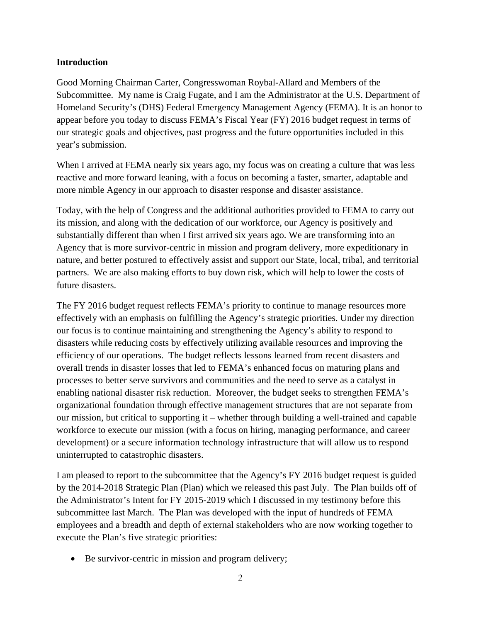#### **Introduction**

Good Morning Chairman Carter, Congresswoman Roybal-Allard and Members of the Subcommittee. My name is Craig Fugate, and I am the Administrator at the U.S. Department of Homeland Security's (DHS) Federal Emergency Management Agency (FEMA). It is an honor to appear before you today to discuss FEMA's Fiscal Year (FY) 2016 budget request in terms of our strategic goals and objectives, past progress and the future opportunities included in this year's submission.

When I arrived at FEMA nearly six years ago, my focus was on creating a culture that was less reactive and more forward leaning, with a focus on becoming a faster, smarter, adaptable and more nimble Agency in our approach to disaster response and disaster assistance.

Today, with the help of Congress and the additional authorities provided to FEMA to carry out its mission, and along with the dedication of our workforce, our Agency is positively and substantially different than when I first arrived six years ago. We are transforming into an Agency that is more survivor-centric in mission and program delivery, more expeditionary in nature, and better postured to effectively assist and support our State, local, tribal, and territorial partners. We are also making efforts to buy down risk, which will help to lower the costs of future disasters.

The FY 2016 budget request reflects FEMA's priority to continue to manage resources more effectively with an emphasis on fulfilling the Agency's strategic priorities. Under my direction our focus is to continue maintaining and strengthening the Agency's ability to respond to disasters while reducing costs by effectively utilizing available resources and improving the efficiency of our operations. The budget reflects lessons learned from recent disasters and overall trends in disaster losses that led to FEMA's enhanced focus on maturing plans and processes to better serve survivors and communities and the need to serve as a catalyst in enabling national disaster risk reduction. Moreover, the budget seeks to strengthen FEMA's organizational foundation through effective management structures that are not separate from our mission, but critical to supporting it – whether through building a well-trained and capable workforce to execute our mission (with a focus on hiring, managing performance, and career development) or a secure information technology infrastructure that will allow us to respond uninterrupted to catastrophic disasters.

I am pleased to report to the subcommittee that the Agency's FY 2016 budget request is guided by the 2014-2018 Strategic Plan (Plan) which we released this past July. The Plan builds off of the Administrator's Intent for FY 2015-2019 which I discussed in my testimony before this subcommittee last March. The Plan was developed with the input of hundreds of FEMA employees and a breadth and depth of external stakeholders who are now working together to execute the Plan's five strategic priorities:

Be survivor-centric in mission and program delivery;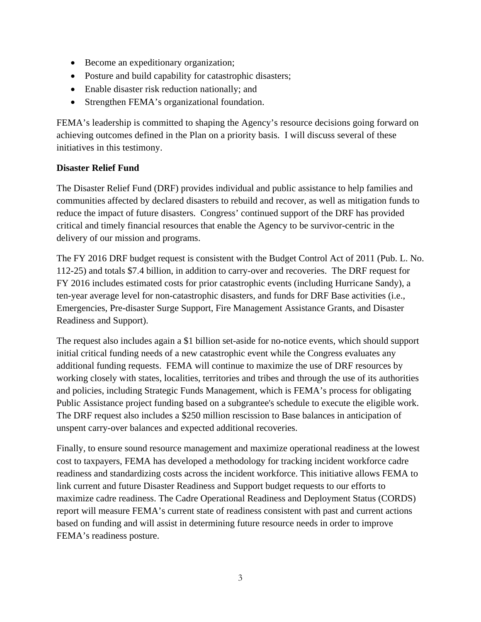- Become an expeditionary organization;
- Posture and build capability for catastrophic disasters;
- Enable disaster risk reduction nationally; and
- Strengthen FEMA's organizational foundation.

FEMA's leadership is committed to shaping the Agency's resource decisions going forward on achieving outcomes defined in the Plan on a priority basis. I will discuss several of these initiatives in this testimony.

#### **Disaster Relief Fund**

The Disaster Relief Fund (DRF) provides individual and public assistance to help families and communities affected by declared disasters to rebuild and recover, as well as mitigation funds to reduce the impact of future disasters. Congress' continued support of the DRF has provided critical and timely financial resources that enable the Agency to be survivor-centric in the delivery of our mission and programs.

The FY 2016 DRF budget request is consistent with the Budget Control Act of 2011 (Pub. L. No. 112-25) and totals \$7.4 billion, in addition to carry-over and recoveries. The DRF request for FY 2016 includes estimated costs for prior catastrophic events (including Hurricane Sandy), a ten-year average level for non-catastrophic disasters, and funds for DRF Base activities (i.e., Emergencies, Pre-disaster Surge Support, Fire Management Assistance Grants, and Disaster Readiness and Support).

The request also includes again a \$1 billion set-aside for no-notice events, which should support initial critical funding needs of a new catastrophic event while the Congress evaluates any additional funding requests. FEMA will continue to maximize the use of DRF resources by working closely with states, localities, territories and tribes and through the use of its authorities and policies, including Strategic Funds Management, which is FEMA's process for obligating Public Assistance project funding based on a subgrantee's schedule to execute the eligible work. The DRF request also includes a \$250 million rescission to Base balances in anticipation of unspent carry-over balances and expected additional recoveries.

Finally, to ensure sound resource management and maximize operational readiness at the lowest cost to taxpayers, FEMA has developed a methodology for tracking incident workforce cadre readiness and standardizing costs across the incident workforce. This initiative allows FEMA to link current and future Disaster Readiness and Support budget requests to our efforts to maximize cadre readiness. The Cadre Operational Readiness and Deployment Status (CORDS) report will measure FEMA's current state of readiness consistent with past and current actions based on funding and will assist in determining future resource needs in order to improve FEMA's readiness posture.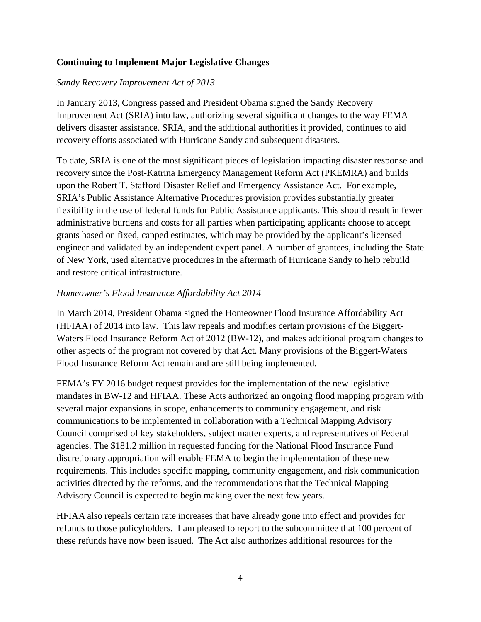## **Continuing to Implement Major Legislative Changes**

#### *Sandy Recovery Improvement Act of 2013*

In January 2013, Congress passed and President Obama signed the Sandy Recovery Improvement Act (SRIA) into law, authorizing several significant changes to the way FEMA delivers disaster assistance. SRIA, and the additional authorities it provided, continues to aid recovery efforts associated with Hurricane Sandy and subsequent disasters.

To date, SRIA is one of the most significant pieces of legislation impacting disaster response and recovery since the Post-Katrina Emergency Management Reform Act (PKEMRA) and builds upon the Robert T. Stafford Disaster Relief and Emergency Assistance Act. For example, SRIA's Public Assistance Alternative Procedures provision provides substantially greater flexibility in the use of federal funds for Public Assistance applicants. This should result in fewer administrative burdens and costs for all parties when participating applicants choose to accept grants based on fixed, capped estimates, which may be provided by the applicant's licensed engineer and validated by an independent expert panel. A number of grantees, including the State of New York, used alternative procedures in the aftermath of Hurricane Sandy to help rebuild and restore critical infrastructure.

#### *Homeowner's Flood Insurance Affordability Act 2014*

In March 2014, President Obama signed the Homeowner Flood Insurance Affordability Act (HFIAA) of 2014 into law. This law repeals and modifies certain provisions of the Biggert-Waters Flood Insurance Reform Act of 2012 (BW-12), and makes additional program changes to other aspects of the program not covered by that Act. Many provisions of the Biggert-Waters Flood Insurance Reform Act remain and are still being implemented.

FEMA's FY 2016 budget request provides for the implementation of the new legislative mandates in BW-12 and HFIAA. These Acts authorized an ongoing flood mapping program with several major expansions in scope, enhancements to community engagement, and risk communications to be implemented in collaboration with a Technical Mapping Advisory Council comprised of key stakeholders, subject matter experts, and representatives of Federal agencies. The \$181.2 million in requested funding for the National Flood Insurance Fund discretionary appropriation will enable FEMA to begin the implementation of these new requirements. This includes specific mapping, community engagement, and risk communication activities directed by the reforms, and the recommendations that the Technical Mapping Advisory Council is expected to begin making over the next few years.

HFIAA also repeals certain rate increases that have already gone into effect and provides for refunds to those policyholders. I am pleased to report to the subcommittee that 100 percent of these refunds have now been issued. The Act also authorizes additional resources for the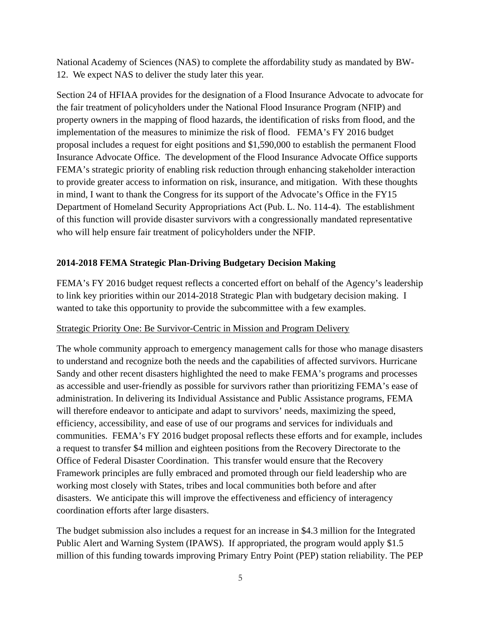National Academy of Sciences (NAS) to complete the affordability study as mandated by BW-12. We expect NAS to deliver the study later this year.

Section 24 of HFIAA provides for the designation of a Flood Insurance Advocate to advocate for the fair treatment of policyholders under the National Flood Insurance Program (NFIP) and property owners in the mapping of flood hazards, the identification of risks from flood, and the implementation of the measures to minimize the risk of flood. FEMA's FY 2016 budget proposal includes a request for eight positions and \$1,590,000 to establish the permanent Flood Insurance Advocate Office. The development of the Flood Insurance Advocate Office supports FEMA's strategic priority of enabling risk reduction through enhancing stakeholder interaction to provide greater access to information on risk, insurance, and mitigation. With these thoughts in mind, I want to thank the Congress for its support of the Advocate's Office in the FY15 Department of Homeland Security Appropriations Act (Pub. L. No. 114-4). The establishment of this function will provide disaster survivors with a congressionally mandated representative who will help ensure fair treatment of policyholders under the NFIP.

## **2014-2018 FEMA Strategic Plan-Driving Budgetary Decision Making**

FEMA's FY 2016 budget request reflects a concerted effort on behalf of the Agency's leadership to link key priorities within our 2014-2018 Strategic Plan with budgetary decision making. I wanted to take this opportunity to provide the subcommittee with a few examples.

#### Strategic Priority One: Be Survivor-Centric in Mission and Program Delivery

The whole community approach to emergency management calls for those who manage disasters to understand and recognize both the needs and the capabilities of affected survivors. Hurricane Sandy and other recent disasters highlighted the need to make FEMA's programs and processes as accessible and user-friendly as possible for survivors rather than prioritizing FEMA's ease of administration. In delivering its Individual Assistance and Public Assistance programs, FEMA will therefore endeavor to anticipate and adapt to survivors' needs, maximizing the speed, efficiency, accessibility, and ease of use of our programs and services for individuals and communities. FEMA's FY 2016 budget proposal reflects these efforts and for example, includes a request to transfer \$4 million and eighteen positions from the Recovery Directorate to the Office of Federal Disaster Coordination. This transfer would ensure that the Recovery Framework principles are fully embraced and promoted through our field leadership who are working most closely with States, tribes and local communities both before and after disasters. We anticipate this will improve the effectiveness and efficiency of interagency coordination efforts after large disasters.

The budget submission also includes a request for an increase in \$4.3 million for the Integrated Public Alert and Warning System (IPAWS). If appropriated, the program would apply \$1.5 million of this funding towards improving Primary Entry Point (PEP) station reliability. The PEP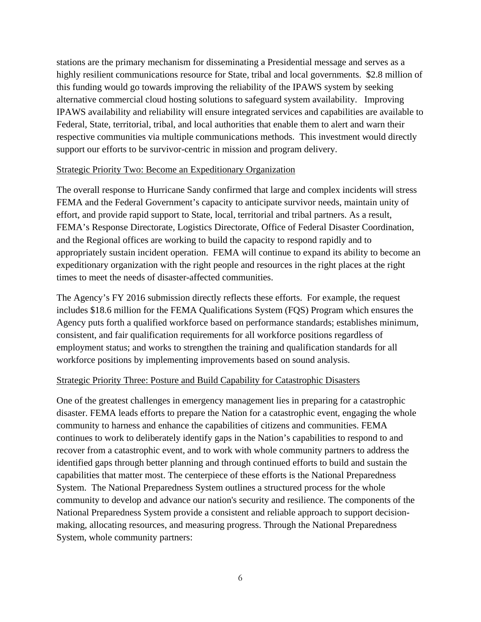stations are the primary mechanism for disseminating a Presidential message and serves as a highly resilient communications resource for State, tribal and local governments. \$2.8 million of this funding would go towards improving the reliability of the IPAWS system by seeking alternative commercial cloud hosting solutions to safeguard system availability. Improving IPAWS availability and reliability will ensure integrated services and capabilities are available to Federal, State, territorial, tribal, and local authorities that enable them to alert and warn their respective communities via multiple communications methods. This investment would directly support our efforts to be survivor-centric in mission and program delivery.

#### Strategic Priority Two: Become an Expeditionary Organization

The overall response to Hurricane Sandy confirmed that large and complex incidents will stress FEMA and the Federal Government's capacity to anticipate survivor needs, maintain unity of effort, and provide rapid support to State, local, territorial and tribal partners. As a result, FEMA's Response Directorate, Logistics Directorate, Office of Federal Disaster Coordination, and the Regional offices are working to build the capacity to respond rapidly and to appropriately sustain incident operation. FEMA will continue to expand its ability to become an expeditionary organization with the right people and resources in the right places at the right times to meet the needs of disaster-affected communities.

The Agency's FY 2016 submission directly reflects these efforts. For example, the request includes \$18.6 million for the FEMA Qualifications System (FQS) Program which ensures the Agency puts forth a qualified workforce based on performance standards; establishes minimum, consistent, and fair qualification requirements for all workforce positions regardless of employment status; and works to strengthen the training and qualification standards for all workforce positions by implementing improvements based on sound analysis.

## Strategic Priority Three: Posture and Build Capability for Catastrophic Disasters

One of the greatest challenges in emergency management lies in preparing for a catastrophic disaster. FEMA leads efforts to prepare the Nation for a catastrophic event, engaging the whole community to harness and enhance the capabilities of citizens and communities. FEMA continues to work to deliberately identify gaps in the Nation's capabilities to respond to and recover from a catastrophic event, and to work with whole community partners to address the identified gaps through better planning and through continued efforts to build and sustain the capabilities that matter most. The centerpiece of these efforts is the National Preparedness System. The National Preparedness System outlines a structured process for the whole community to develop and advance our nation's security and resilience. The components of the National Preparedness System provide a consistent and reliable approach to support decisionmaking, allocating resources, and measuring progress. Through the National Preparedness System, whole community partners: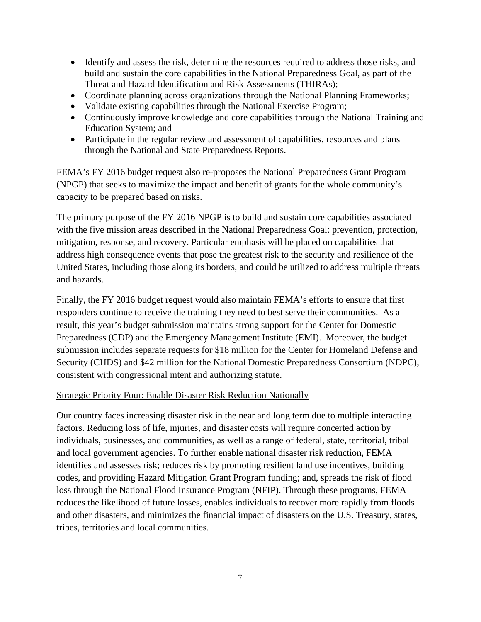- Identify and assess the risk, determine the resources required to address those risks, and build and sustain the core capabilities in the National Preparedness Goal, as part of the Threat and Hazard Identification and Risk Assessments (THIRAs);
- Coordinate planning across organizations through the National Planning Frameworks;
- Validate existing capabilities through the National Exercise Program;
- Continuously improve knowledge and core capabilities through the National Training and Education System; and
- Participate in the regular review and assessment of capabilities, resources and plans through the National and State Preparedness Reports.

FEMA's FY 2016 budget request also re-proposes the National Preparedness Grant Program (NPGP) that seeks to maximize the impact and benefit of grants for the whole community's capacity to be prepared based on risks.

The primary purpose of the FY 2016 NPGP is to build and sustain core capabilities associated with the five mission areas described in the National Preparedness Goal: prevention, protection, mitigation, response, and recovery. Particular emphasis will be placed on capabilities that address high consequence events that pose the greatest risk to the security and resilience of the United States, including those along its borders, and could be utilized to address multiple threats and hazards.

Finally, the FY 2016 budget request would also maintain FEMA's efforts to ensure that first responders continue to receive the training they need to best serve their communities. As a result, this year's budget submission maintains strong support for the Center for Domestic Preparedness (CDP) and the Emergency Management Institute (EMI). Moreover, the budget submission includes separate requests for \$18 million for the Center for Homeland Defense and Security (CHDS) and \$42 million for the National Domestic Preparedness Consortium (NDPC), consistent with congressional intent and authorizing statute.

#### Strategic Priority Four: Enable Disaster Risk Reduction Nationally

Our country faces increasing disaster risk in the near and long term due to multiple interacting factors. Reducing loss of life, injuries, and disaster costs will require concerted action by individuals, businesses, and communities, as well as a range of federal, state, territorial, tribal and local government agencies. To further enable national disaster risk reduction, FEMA identifies and assesses risk; reduces risk by promoting resilient land use incentives, building codes, and providing Hazard Mitigation Grant Program funding; and, spreads the risk of flood loss through the National Flood Insurance Program (NFIP). Through these programs, FEMA reduces the likelihood of future losses, enables individuals to recover more rapidly from floods and other disasters, and minimizes the financial impact of disasters on the U.S. Treasury, states, tribes, territories and local communities.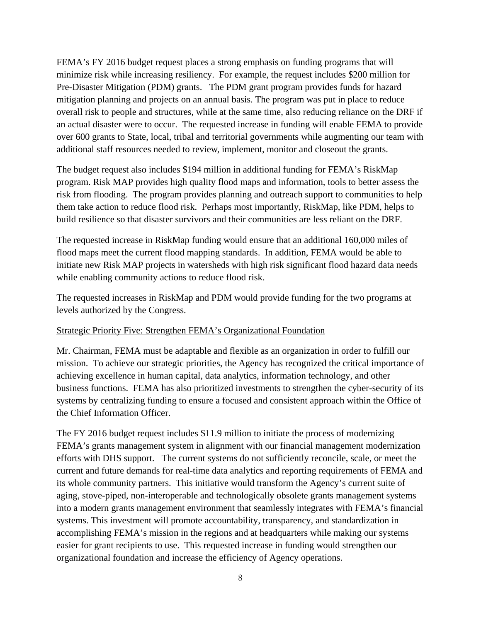FEMA's FY 2016 budget request places a strong emphasis on funding programs that will minimize risk while increasing resiliency. For example, the request includes \$200 million for Pre-Disaster Mitigation (PDM) grants. The PDM grant program provides funds for hazard mitigation planning and projects on an annual basis. The program was put in place to reduce overall risk to people and structures, while at the same time, also reducing reliance on the DRF if an actual disaster were to occur. The requested increase in funding will enable FEMA to provide over 600 grants to State, local, tribal and territorial governments while augmenting our team with additional staff resources needed to review, implement, monitor and closeout the grants.

The budget request also includes \$194 million in additional funding for FEMA's RiskMap program. Risk MAP provides high quality flood maps and information, tools to better assess the risk from flooding. The program provides planning and outreach support to communities to help them take action to reduce flood risk. Perhaps most importantly, RiskMap, like PDM, helps to build resilience so that disaster survivors and their communities are less reliant on the DRF.

The requested increase in RiskMap funding would ensure that an additional 160,000 miles of flood maps meet the current flood mapping standards. In addition, FEMA would be able to initiate new Risk MAP projects in watersheds with high risk significant flood hazard data needs while enabling community actions to reduce flood risk.

The requested increases in RiskMap and PDM would provide funding for the two programs at levels authorized by the Congress.

#### Strategic Priority Five: Strengthen FEMA's Organizational Foundation

Mr. Chairman, FEMA must be adaptable and flexible as an organization in order to fulfill our mission. To achieve our strategic priorities, the Agency has recognized the critical importance of achieving excellence in human capital, data analytics, information technology, and other business functions. FEMA has also prioritized investments to strengthen the cyber-security of its systems by centralizing funding to ensure a focused and consistent approach within the Office of the Chief Information Officer.

The FY 2016 budget request includes \$11.9 million to initiate the process of modernizing FEMA's grants management system in alignment with our financial management modernization efforts with DHS support. The current systems do not sufficiently reconcile, scale, or meet the current and future demands for real-time data analytics and reporting requirements of FEMA and its whole community partners. This initiative would transform the Agency's current suite of aging, stove-piped, non-interoperable and technologically obsolete grants management systems into a modern grants management environment that seamlessly integrates with FEMA's financial systems. This investment will promote accountability, transparency, and standardization in accomplishing FEMA's mission in the regions and at headquarters while making our systems easier for grant recipients to use. This requested increase in funding would strengthen our organizational foundation and increase the efficiency of Agency operations.